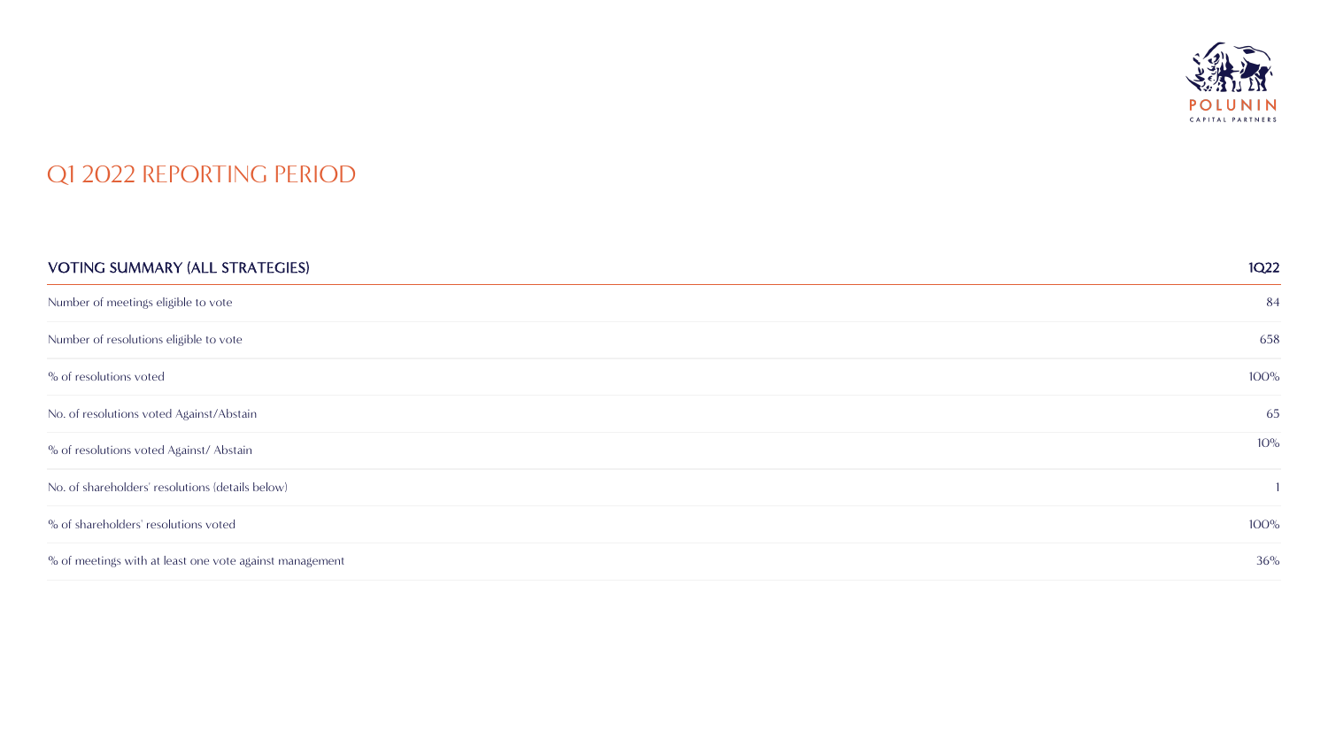

#### Q1 2022 REPORTING PERIOD

| <b>VOTING SUMMARY (ALL STRATEGIES)</b>                  | 1Q <sub>22</sub> |
|---------------------------------------------------------|------------------|
| Number of meetings eligible to vote                     | 84               |
| Number of resolutions eligible to vote                  | 658              |
| % of resolutions voted                                  | $100\%$          |
| No. of resolutions voted Against/Abstain                | 65               |
| % of resolutions voted Against/Abstain                  | 10%              |
| No. of shareholders' resolutions (details below)        |                  |
| % of shareholders' resolutions voted                    | $100\%$          |
| % of meetings with at least one vote against management | 36%              |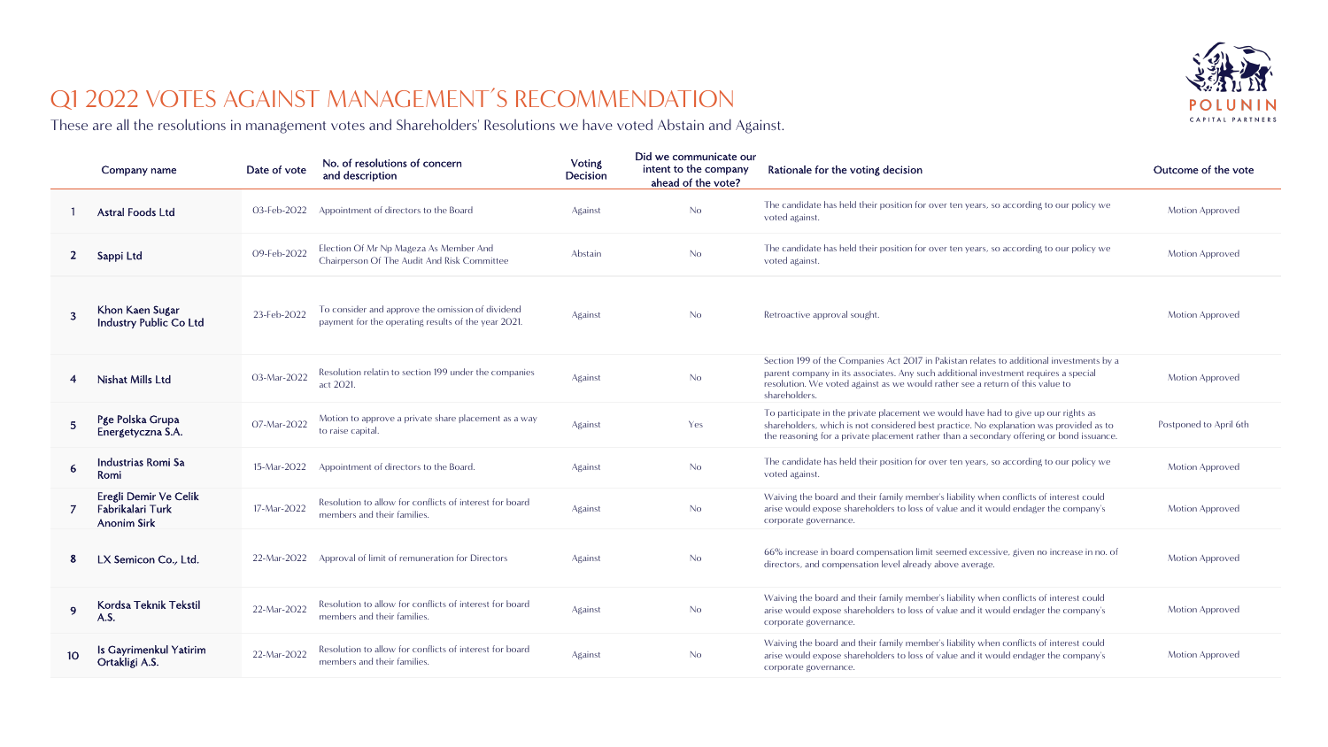

# Q1 2022 VOTES AGAINST MANAGEMENT'S RECOMMENDATION

These are all the resolutions in management votes and Shareholders' Resolutions we have voted Abstain and Against.

|                 | Company name                                                    | Date of vote | No. of resolutions of concern<br>and description                                                        | <b>Voting</b><br>Decision | Did we communicate our<br>intent to the company<br>ahead of the vote? | Rationale for the voting decision                                                                                                                                                                                                                                                 | Outcome of the vote    |
|-----------------|-----------------------------------------------------------------|--------------|---------------------------------------------------------------------------------------------------------|---------------------------|-----------------------------------------------------------------------|-----------------------------------------------------------------------------------------------------------------------------------------------------------------------------------------------------------------------------------------------------------------------------------|------------------------|
|                 | <b>Astral Foods Ltd</b>                                         | 03-Feb-2022  | Appointment of directors to the Board                                                                   | Against                   | No                                                                    | The candidate has held their position for over ten years, so according to our policy we<br>voted against.                                                                                                                                                                         | Motion Approved        |
| $\mathbf{2}$    | Sappi Ltd                                                       | 09-Feb-2022  | Election Of Mr Np Mageza As Member And<br>Chairperson Of The Audit And Risk Committee                   | Abstain                   | No                                                                    | The candidate has held their position for over ten years, so according to our policy we<br>voted against.                                                                                                                                                                         | <b>Motion Approved</b> |
| 3               | Khon Kaen Sugar<br><b>Industry Public Co Ltd</b>                | 23-Feb-2022  | To consider and approve the omission of dividend<br>payment for the operating results of the year 2021. | Against                   | No                                                                    | Retroactive approval sought.                                                                                                                                                                                                                                                      | Motion Approved        |
|                 | Nishat Mills Ltd                                                | 03-Mar-2022  | Resolution relatin to section 199 under the companies<br>act 2021.                                      | Against                   | No                                                                    | Section 199 of the Companies Act 2017 in Pakistan relates to additional investments by a<br>parent company in its associates. Any such additional investment requires a special<br>resolution. We voted against as we would rather see a return of this value to<br>shareholders. | <b>Motion Approved</b> |
| 5 <sup>5</sup>  | Pge Polska Grupa<br>Energetyczna S.A.                           | 07-Mar-2022  | Motion to approve a private share placement as a way<br>to raise capital.                               | Against                   | Yes                                                                   | To participate in the private placement we would have had to give up our rights as<br>shareholders, which is not considered best practice. No explanation was provided as to<br>the reasoning for a private placement rather than a secondary offering or bond issuance.          | Postponed to April 6th |
| 6               | Industrias Romi Sa<br>Romi                                      | 15-Mar-2022  | Appointment of directors to the Board.                                                                  | Against                   | No                                                                    | The candidate has held their position for over ten years, so according to our policy we<br>voted against.                                                                                                                                                                         | <b>Motion Approved</b> |
|                 | Eregli Demir Ve Celik<br>Fabrikalari Turk<br><b>Anonim Sirk</b> | 17-Mar-2022  | Resolution to allow for conflicts of interest for board<br>members and their families.                  | Against                   | No                                                                    | Waiving the board and their family member's liability when conflicts of interest could<br>arise would expose shareholders to loss of value and it would endager the company's<br>corporate governance.                                                                            | <b>Motion Approved</b> |
| 8               | LX Semicon Co., Ltd.                                            | 22-Mar-2022  | Approval of limit of remuneration for Directors                                                         | Against                   | No                                                                    | 66% increase in board compensation limit seemed excessive, given no increase in no. of<br>directors, and compensation level already above average.                                                                                                                                | <b>Motion Approved</b> |
| $\mathbf{Q}$    | Kordsa Teknik Tekstil<br>A.S.                                   | 22-Mar-2022  | Resolution to allow for conflicts of interest for board<br>members and their families.                  | Against                   | No                                                                    | Waiving the board and their family member's liability when conflicts of interest could<br>arise would expose shareholders to loss of value and it would endager the company's<br>corporate governance.                                                                            | <b>Motion Approved</b> |
| 10 <sup>°</sup> | Is Gayrimenkul Yatirim<br>Ortakligi A.S.                        | 22-Mar-2022  | Resolution to allow for conflicts of interest for board<br>members and their families.                  | Against                   | No                                                                    | Waiving the board and their family member's liability when conflicts of interest could<br>arise would expose shareholders to loss of value and it would endager the company's<br>corporate governance.                                                                            | Motion Approved        |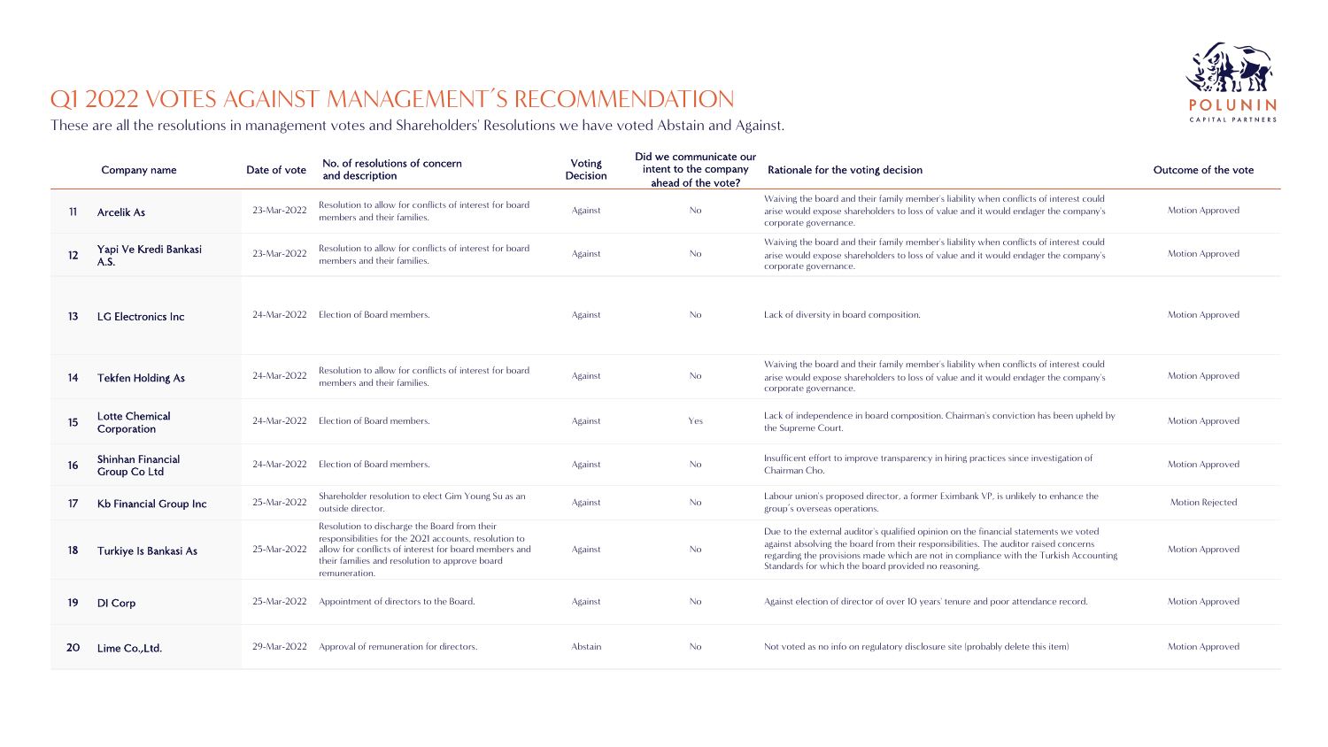

# Q1 2022 VOTES AGAINST MANAGEMENT'S RECOMMENDATION

These are all the resolutions in management votes and Shareholders' Resolutions we have voted Abstain and Against.

|                  | Company name                             | Date of vote | No. of resolutions of concern<br>and description                                                                                                                                                                                  | <b>Voting</b><br>Decision | Did we communicate our<br>intent to the company<br>ahead of the vote? | Rationale for the voting decision                                                                                                                                                                                                                                                                                             | Outcome of the vote    |
|------------------|------------------------------------------|--------------|-----------------------------------------------------------------------------------------------------------------------------------------------------------------------------------------------------------------------------------|---------------------------|-----------------------------------------------------------------------|-------------------------------------------------------------------------------------------------------------------------------------------------------------------------------------------------------------------------------------------------------------------------------------------------------------------------------|------------------------|
| 11               | Arcelik As                               | 23-Mar-2022  | Resolution to allow for conflicts of interest for board<br>members and their families.                                                                                                                                            | Against                   | N <sub>o</sub>                                                        | Waiving the board and their family member's liability when conflicts of interest could<br>arise would expose shareholders to loss of value and it would endager the company's<br>corporate governance.                                                                                                                        | Motion Approved        |
| 12               | Yapi Ve Kredi Bankasi<br>A.S.            | 23-Mar-2022  | Resolution to allow for conflicts of interest for board<br>members and their families.                                                                                                                                            | Against                   | N <sub>o</sub>                                                        | Waiving the board and their family member's liability when conflicts of interest could<br>arise would expose shareholders to loss of value and it would endager the company's<br>corporate governance.                                                                                                                        | <b>Motion Approved</b> |
| 13               | <b>LG Electronics Inc</b>                | 24-Mar-2022  | Election of Board members.                                                                                                                                                                                                        | Against                   | N <sub>o</sub>                                                        | Lack of diversity in board composition.                                                                                                                                                                                                                                                                                       | Motion Approved        |
| 14               | <b>Tekfen Holding As</b>                 | 24-Mar-2022  | Resolution to allow for conflicts of interest for board<br>members and their families.                                                                                                                                            | Against                   | No                                                                    | Waiving the board and their family member's liability when conflicts of interest could<br>arise would expose shareholders to loss of value and it would endager the company's<br>corporate governance.                                                                                                                        | <b>Motion Approved</b> |
| 15 <sub>15</sub> | <b>Lotte Chemical</b><br>Corporation     |              | 24-Mar-2022 Election of Board members.                                                                                                                                                                                            | Against                   | Yes                                                                   | Lack of independence in board composition. Chairman's conviction has been upheld by<br>the Supreme Court.                                                                                                                                                                                                                     | <b>Motion Approved</b> |
| 16               | Shinhan Financial<br><b>Group Co Ltd</b> | 24-Mar-2022  | Election of Board members.                                                                                                                                                                                                        | Against                   | No                                                                    | Insufficent effort to improve transparency in hiring practices since investigation of<br>Chairman Cho.                                                                                                                                                                                                                        | <b>Motion Approved</b> |
| 17               | Kb Financial Group Inc                   | 25-Mar-2022  | Shareholder resolution to elect Gim Young Su as an<br>outside director.                                                                                                                                                           | Against                   | No                                                                    | Labour union's proposed director, a former Eximbank VP, is unlikely to enhance the<br>group's overseas operations.                                                                                                                                                                                                            | <b>Motion Rejected</b> |
| 18               | Turkiye Is Bankasi As                    | 25-Mar-2022  | Resolution to discharge the Board from their<br>responsibilities for the 2021 accounts, resolution to<br>allow for conflicts of interest for board members and<br>their families and resolution to approve board<br>remuneration. | Against                   | N <sub>o</sub>                                                        | Due to the external auditor's qualified opinion on the financial statements we voted<br>against absolving the board from their responsibilities. The auditor raised concerns<br>regarding the provisions made which are not in compliance with the Turkish Accounting<br>Standards for which the board provided no reasoning. | <b>Motion Approved</b> |
| 19               | DI Corp                                  | 25-Mar-2022  | Appointment of directors to the Board.                                                                                                                                                                                            | Against                   | No                                                                    | Against election of director of over 10 years' tenure and poor attendance record.                                                                                                                                                                                                                                             | Motion Approved        |
| 20               | Lime Co., Ltd.                           |              | 29-Mar-2022 Approval of remuneration for directors.                                                                                                                                                                               | Abstain                   | No.                                                                   | Not voted as no info on regulatory disclosure site (probably delete this item)                                                                                                                                                                                                                                                | <b>Motion Approved</b> |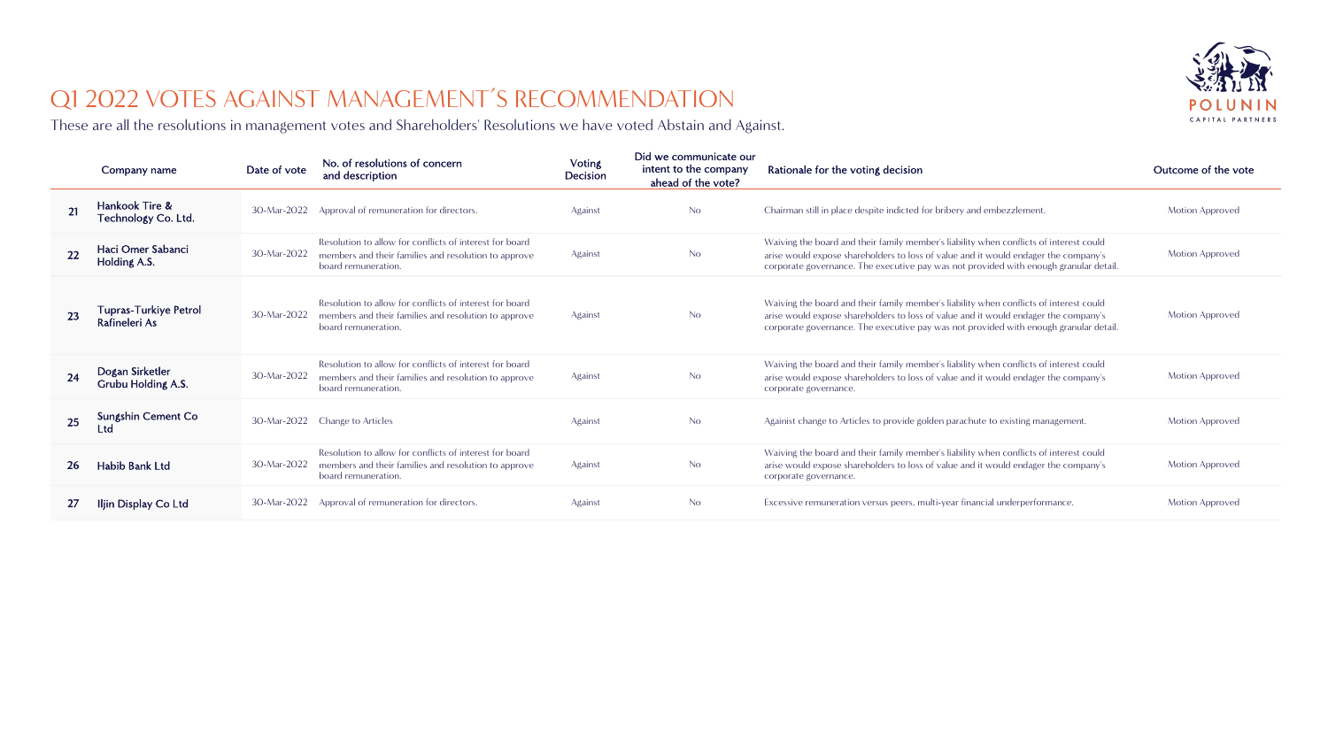

# Q1 2022 VOTES AGAINST MANAGEMENT'S RECOMMENDATION

These are all the resolutions in management votes and Shareholders' Resolutions we have voted Abstain and Against.

|    | Company name                           | Date of vote | No. of resolutions of concern<br>and description                                                                                       | Voting<br>Decision | Did we communicate our<br>intent to the company<br>ahead of the vote? | Rationale for the voting decision                                                                                                                                                                                                                                      | Outcome of the vote    |
|----|----------------------------------------|--------------|----------------------------------------------------------------------------------------------------------------------------------------|--------------------|-----------------------------------------------------------------------|------------------------------------------------------------------------------------------------------------------------------------------------------------------------------------------------------------------------------------------------------------------------|------------------------|
| 21 | Hankook Tire &<br>Technology Co. Ltd.  | 30-Mar-2022  | Approval of remuneration for directors.                                                                                                | Against            | No                                                                    | Chairman still in place despite indicted for bribery and embezzlement.                                                                                                                                                                                                 | <b>Motion Approved</b> |
| 22 | Haci Omer Sabanci<br>Holding A.S.      | 30-Mar-2022  | Resolution to allow for conflicts of interest for board<br>members and their families and resolution to approve<br>board remuneration. | Against            | No                                                                    | Waiving the board and their family member's liability when conflicts of interest could<br>arise would expose shareholders to loss of value and it would endager the company's<br>corporate governance. The executive pay was not provided with enough granular detail. | <b>Motion Approved</b> |
| 23 | Tupras-Turkiye Petrol<br>Rafineleri As | 30-Mar-2022  | Resolution to allow for conflicts of interest for board<br>members and their families and resolution to approve<br>board remuneration. | Against            | No                                                                    | Waiving the board and their family member's liability when conflicts of interest could<br>arise would expose shareholders to loss of value and it would endager the company's<br>corporate governance. The executive pay was not provided with enough granular detail. | <b>Motion Approved</b> |
| 24 | Dogan Sirketler<br>Grubu Holding A.S.  | 30-Mar-2022  | Resolution to allow for conflicts of interest for board<br>members and their families and resolution to approve<br>board remuneration. | Against            | No.                                                                   | Waiving the board and their family member's liability when conflicts of interest could<br>arise would expose shareholders to loss of value and it would endager the company's<br>corporate governance.                                                                 | <b>Motion Approved</b> |
| 25 | Sungshin Cement Co<br>Ltd              | 30-Mar-2022  | Change to Articles                                                                                                                     | Against            | No                                                                    | Againist change to Articles to provide golden parachute to existing management.                                                                                                                                                                                        | <b>Motion Approved</b> |
| 26 | Habib Bank Ltd                         | 30-Mar-2022  | Resolution to allow for conflicts of interest for board<br>members and their families and resolution to approve<br>board remuneration. | Against            | No                                                                    | Waiving the board and their family member's liability when conflicts of interest could<br>arise would expose shareholders to loss of value and it would endager the company's<br>corporate governance.                                                                 | <b>Motion Approved</b> |
| 27 | Iljin Display Co Ltd                   | 30-Mar-2022  | Approval of remuneration for directors.                                                                                                | Against            | No                                                                    | Excessive remuneration versus peers, multi-year financial underperformance.                                                                                                                                                                                            | <b>Motion Approved</b> |